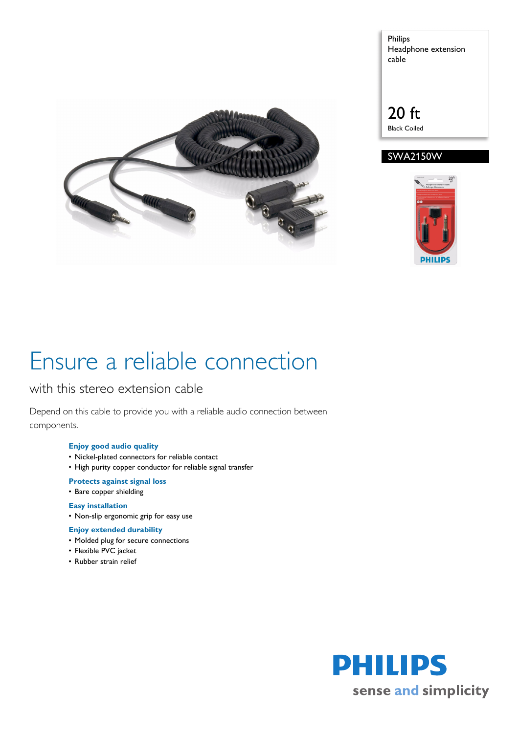

Philips Headphone extension cable

### 20 ft Black Coiled





# Ensure a reliable connection

### with this stereo extension cable

Depend on this cable to provide you with a reliable audio connection between components.

#### **Enjoy good audio quality**

- Nickel-plated connectors for reliable contact
- High purity copper conductor for reliable signal transfer

### **Protects against signal loss**

• Bare copper shielding

#### **Easy installation**

• Non-slip ergonomic grip for easy use

#### **Enjoy extended durability**

- Molded plug for secure connections
- Flexible PVC jacket
- Rubber strain relief